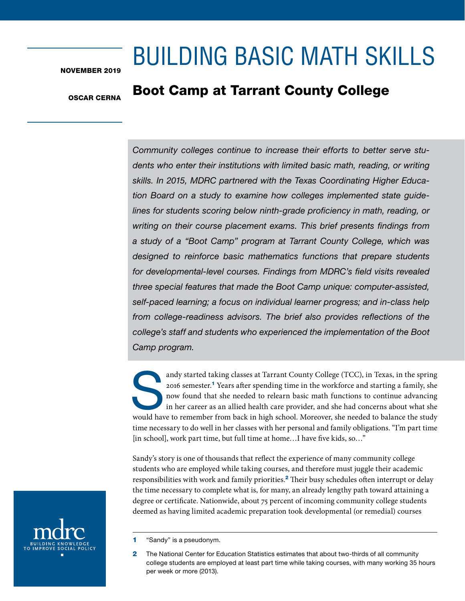# BUILDING BASIC MATH SKILLS

NOVEMBER 2019

# OSCAR CERNA

# Boot Camp at Tarrant County College

*Community colleges continue to increase their efforts to better serve students who enter their institutions with limited basic math, reading, or writing skills. In 2015, MDRC partnered with the Texas Coordinating Higher Education Board on a study to examine how colleges implemented state guidelines for students scoring below ninth-grade proficiency in math, reading, or writing on their course placement exams. This brief presents findings from a study of a "Boot Camp" program at Tarrant County College, which was designed to reinforce basic mathematics functions that prepare students for developmental-level courses. Findings from MDRC's field visits revealed three special features that made the Boot Camp unique: computer-assisted, self-paced learning; a focus on individual learner progress; and in-class help from college-readiness advisors. The brief also provides reflections of the college's staff and students who experienced the implementation of the Boot Camp program.*

andy started taking classes at Tarrant County College (TCC), in Texas, in the spring 2016 semester.<sup>1</sup> Years after spending time in the workforce and starting a family, she now found that she needed to relearn basic math functions to continue advancing in her career as an allied health care provider, and she had concerns about what she would have to remember from back in high school. Moreover, she needed to balance the study time necessary to do well in her classes with her personal and family obligations. "I'm part time [in school], work part time, but full time at home…I have five kids, so…"

Sandy's story is one of thousands that reflect the experience of many community college students who are employed while taking courses, and therefore must juggle their academic responsibilities with work and family priorities.<sup>2</sup> Their busy schedules often interrupt or delay the time necessary to complete what is, for many, an already lengthy path toward attaining a degree or certificate. Nationwide, about 75 percent of incoming community college students deemed as having limited academic preparation took developmental (or remedial) courses



2 The National Center for Education Statistics estimates that about two-thirds of all community college students are employed at least part time while taking courses, with many working 35 hours per week or more (2013).

<sup>1</sup> "Sandy" is a pseudonym.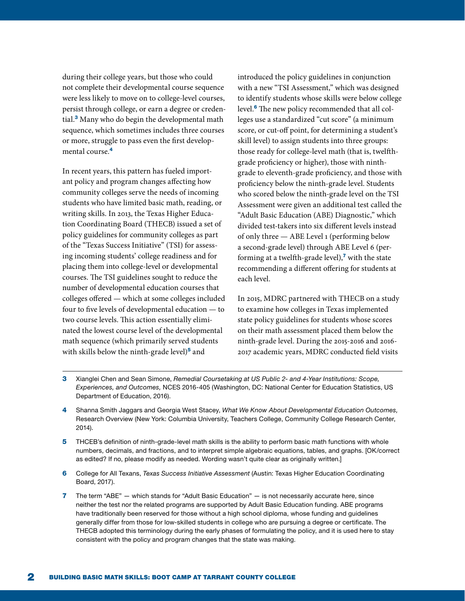during their college years, but those who could not complete their developmental course sequence were less likely to move on to college-level courses, persist through college, or earn a degree or credential.<sup>3</sup> Many who do begin the developmental math sequence, which sometimes includes three courses or more, struggle to pass even the first developmental course.<sup>4</sup>

In recent years, this pattern has fueled important policy and program changes affecting how community colleges serve the needs of incoming students who have limited basic math, reading, or writing skills. In 2013, the Texas Higher Education Coordinating Board (THECB) issued a set of policy guidelines for community colleges as part of the "Texas Success Initiative" (TSI) for assessing incoming students' college readiness and for placing them into college-level or developmental courses. The TSI guidelines sought to reduce the number of developmental education courses that colleges offered — which at some colleges included four to five levels of developmental education — to two course levels. This action essentially eliminated the lowest course level of the developmental math sequence (which primarily served students with skills below the ninth-grade level)<sup>5</sup> and

introduced the policy guidelines in conjunction with a new "TSI Assessment," which was designed to identify students whose skills were below college level.<sup>6</sup> The new policy recommended that all colleges use a standardized "cut score" (a minimum score, or cut-off point, for determining a student's skill level) to assign students into three groups: those ready for college-level math (that is, twelfthgrade proficiency or higher), those with ninthgrade to eleventh-grade proficiency, and those with proficiency below the ninth-grade level. Students who scored below the ninth-grade level on the TSI Assessment were given an additional test called the "Adult Basic Education (ABE) Diagnostic," which divided test-takers into six different levels instead of only three — ABE Level 1 (performing below a second-grade level) through ABE Level 6 (performing at a twelfth-grade level), $<sup>7</sup>$  with the state</sup> recommending a different offering for students at each level.

In 2015, MDRC partnered with THECB on a study to examine how colleges in Texas implemented state policy guidelines for students whose scores on their math assessment placed them below the ninth-grade level. During the 2015-2016 and 2016- 2017 academic years, MDRC conducted field visits

- 3 Xianglei Chen and Sean Simone, *Remedial Coursetaking at US Public 2- and 4-Year Institutions: Scope, Experiences, and Outcomes,* NCES 2016-405 (Washington, DC: National Center for Education Statistics, US Department of Education, 2016).
- 4 Shanna Smith Jaggars and Georgia West Stacey, *What We Know About Developmental Education Outcomes,*  Research Overview (New York: Columbia University, Teachers College, Community College Research Center, 2014).
- 5 THCEB's definition of ninth-grade-level math skills is the ability to perform basic math functions with whole numbers, decimals, and fractions, and to interpret simple algebraic equations, tables, and graphs. [OK/correct as edited? If no, please modify as needed. Wording wasn't quite clear as originally written.]
- 6 College for All Texans, *Texas Success Initiative Assessment* (Austin: Texas Higher Education Coordinating Board, 2017).
- 7 The term "ABE" which stands for "Adult Basic Education" is not necessarily accurate here, since neither the test nor the related programs are supported by Adult Basic Education funding. ABE programs have traditionally been reserved for those without a high school diploma, whose funding and guidelines generally differ from those for low-skilled students in college who are pursuing a degree or certificate. The THECB adopted this terminology during the early phases of formulating the policy, and it is used here to stay consistent with the policy and program changes that the state was making.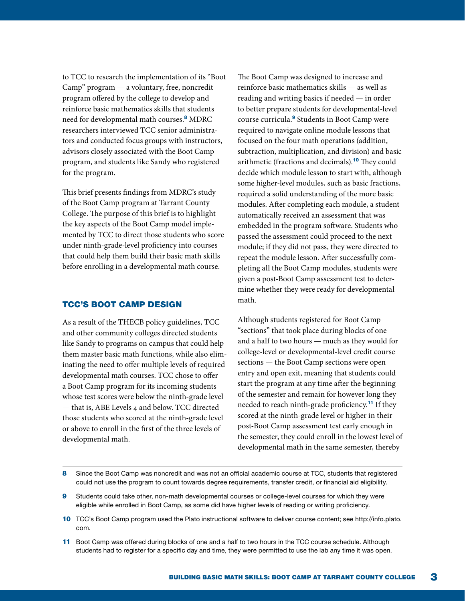to TCC to research the implementation of its "Boot Camp" program — a voluntary, free, noncredit program offered by the college to develop and reinforce basic mathematics skills that students need for developmental math courses.<sup>8</sup> MDRC researchers interviewed TCC senior administrators and conducted focus groups with instructors, advisors closely associated with the Boot Camp program, and students like Sandy who registered for the program.

This brief presents findings from MDRC's study of the Boot Camp program at Tarrant County College. The purpose of this brief is to highlight the key aspects of the Boot Camp model implemented by TCC to direct those students who score under ninth-grade-level proficiency into courses that could help them build their basic math skills before enrolling in a developmental math course.

## TCC'S BOOT CAMP DESIGN

As a result of the THECB policy guidelines, TCC and other community colleges directed students like Sandy to programs on campus that could help them master basic math functions, while also eliminating the need to offer multiple levels of required developmental math courses. TCC chose to offer a Boot Camp program for its incoming students whose test scores were below the ninth-grade level — that is, ABE Levels 4 and below. TCC directed those students who scored at the ninth-grade level or above to enroll in the first of the three levels of developmental math.

The Boot Camp was designed to increase and reinforce basic mathematics skills — as well as reading and writing basics if needed — in order to better prepare students for developmental-level course curricula.<sup>9</sup> Students in Boot Camp were required to navigate online module lessons that focused on the four math operations (addition, subtraction, multiplication, and division) and basic arithmetic (fractions and decimals).<sup>10</sup> They could decide which module lesson to start with, although some higher-level modules, such as basic fractions, required a solid understanding of the more basic modules. After completing each module, a student automatically received an assessment that was embedded in the program software. Students who passed the assessment could proceed to the next module; if they did not pass, they were directed to repeat the module lesson. After successfully completing all the Boot Camp modules, students were given a post-Boot Camp assessment test to determine whether they were ready for developmental math.

Although students registered for Boot Camp "sections" that took place during blocks of one and a half to two hours — much as they would for college-level or developmental-level credit course sections — the Boot Camp sections were open entry and open exit, meaning that students could start the program at any time after the beginning of the semester and remain for however long they needed to reach ninth-grade proficiency.<sup>11</sup> If they scored at the ninth-grade level or higher in their post-Boot Camp assessment test early enough in the semester, they could enroll in the lowest level of developmental math in the same semester, thereby

- 8 Since the Boot Camp was noncredit and was not an official academic course at TCC, students that registered could not use the program to count towards degree requirements, transfer credit, or financial aid eligibility.
- 9 Students could take other, non-math developmental courses or college-level courses for which they were eligible while enrolled in Boot Camp, as some did have higher levels of reading or writing proficiency.
- 10 TCC's Boot Camp program used the Plato instructional software to deliver course content; see http://info.plato. com.
- 11 Boot Camp was offered during blocks of one and a half to two hours in the TCC course schedule. Although students had to register for a specific day and time, they were permitted to use the lab any time it was open.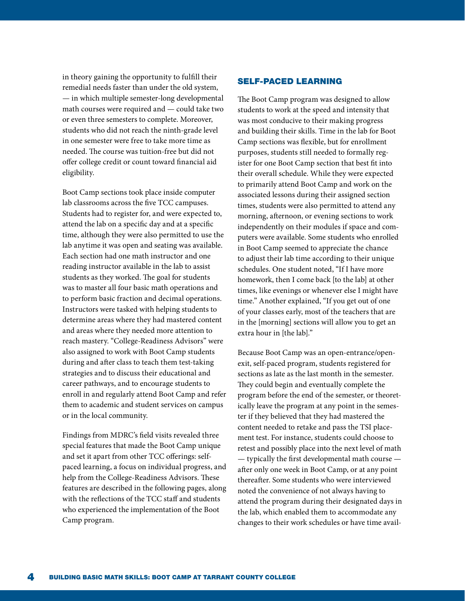in theory gaining the opportunity to fulfill their remedial needs faster than under the old system, — in which multiple semester-long developmental math courses were required and — could take two or even three semesters to complete. Moreover, students who did not reach the ninth-grade level in one semester were free to take more time as needed. The course was tuition-free but did not offer college credit or count toward financial aid eligibility.

Boot Camp sections took place inside computer lab classrooms across the five TCC campuses. Students had to register for, and were expected to, attend the lab on a specific day and at a specific time, although they were also permitted to use the lab anytime it was open and seating was available. Each section had one math instructor and one reading instructor available in the lab to assist students as they worked. The goal for students was to master all four basic math operations and to perform basic fraction and decimal operations. Instructors were tasked with helping students to determine areas where they had mastered content and areas where they needed more attention to reach mastery. "College-Readiness Advisors" were also assigned to work with Boot Camp students during and after class to teach them test-taking strategies and to discuss their educational and career pathways, and to encourage students to enroll in and regularly attend Boot Camp and refer them to academic and student services on campus or in the local community.

Findings from MDRC's field visits revealed three special features that made the Boot Camp unique and set it apart from other TCC offerings: selfpaced learning, a focus on individual progress, and help from the College-Readiness Advisors. These features are described in the following pages, along with the reflections of the TCC staff and students who experienced the implementation of the Boot Camp program.

# SELF-PACED LEARNING

The Boot Camp program was designed to allow students to work at the speed and intensity that was most conducive to their making progress and building their skills. Time in the lab for Boot Camp sections was flexible, but for enrollment purposes, students still needed to formally register for one Boot Camp section that best fit into their overall schedule. While they were expected to primarily attend Boot Camp and work on the associated lessons during their assigned section times, students were also permitted to attend any morning, afternoon, or evening sections to work independently on their modules if space and computers were available. Some students who enrolled in Boot Camp seemed to appreciate the chance to adjust their lab time according to their unique schedules. One student noted, "If I have more homework, then I come back [to the lab] at other times, like evenings or whenever else I might have time." Another explained, "If you get out of one of your classes early, most of the teachers that are in the [morning] sections will allow you to get an extra hour in [the lab]."

Because Boot Camp was an open-entrance/openexit, self-paced program, students registered for sections as late as the last month in the semester. They could begin and eventually complete the program before the end of the semester, or theoretically leave the program at any point in the semester if they believed that they had mastered the content needed to retake and pass the TSI placement test. For instance, students could choose to retest and possibly place into the next level of math — typically the first developmental math course after only one week in Boot Camp, or at any point thereafter. Some students who were interviewed noted the convenience of not always having to attend the program during their designated days in the lab, which enabled them to accommodate any changes to their work schedules or have time avail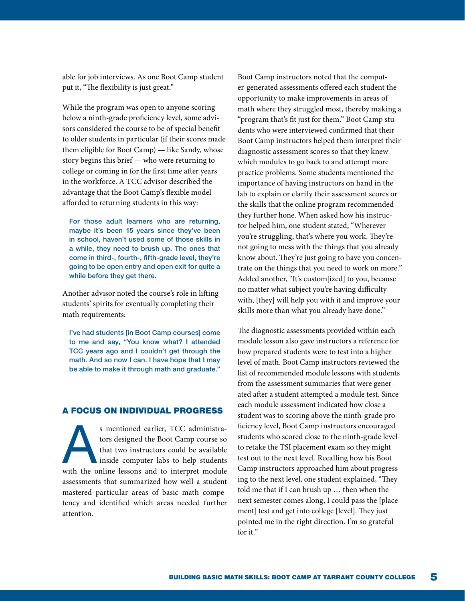able for job interviews. As one Boot Camp student put it, "The flexibility is just great."

While the program was open to anyone scoring below a ninth-grade proficiency level, some advisors considered the course to be of special benefit to older students in particular (if their scores made them eligible for Boot Camp) — like Sandy, whose story begins this brief — who were returning to college or coming in for the first time after years in the workforce. A TCC advisor described the advantage that the Boot Camp's flexible model afforded to returning students in this way:

For those adult learners who are returning, maybe it's been 15 years since they've been in school, haven't used some of those skills in a while, they need to brush up. The ones that come in third-, fourth-, fifth-grade level, they're going to be open entry and open exit for quite a while before they get there.

Another advisor noted the course's role in lifting students' spirits for eventually completing their math requirements:

I've had students [in Boot Camp courses] come to me and say, "You know what? I attended TCC years ago and I couldn't get through the math. And so now I can. I have hope that I may be able to make it through math and graduate."

#### A FOCUS ON INDIVIDUAL PROGRESS

s mentioned earlier, TCC administra-<br>tors designed the Boot Camp course so<br>that two instructors could be available<br>inside computer labs to help students<br>with the online lessons and to interpret module tors designed the Boot Camp course so that two instructors could be available inside computer labs to help students with the online lessons and to interpret module assessments that summarized how well a student mastered particular areas of basic math competency and identified which areas needed further attention.

Boot Camp instructors noted that the computer-generated assessments offered each student the opportunity to make improvements in areas of math where they struggled most, thereby making a "program that's fit just for them." Boot Camp students who were interviewed confirmed that their Boot Camp instructors helped them interpret their diagnostic assessment scores so that they knew which modules to go back to and attempt more practice problems. Some students mentioned the importance of having instructors on hand in the lab to explain or clarify their assessment scores or the skills that the online program recommended they further hone. When asked how his instructor helped him, one student stated, "Wherever you're struggling, that's where you work. They're not going to mess with the things that you already know about. They're just going to have you concentrate on the things that you need to work on more." Added another, "It's custom[ized] to you, because no matter what subject you're having difficulty with, [they] will help you with it and improve your skills more than what you already have done."

The diagnostic assessments provided within each module lesson also gave instructors a reference for how prepared students were to test into a higher level of math. Boot Camp instructors reviewed the list of recommended module lessons with students from the assessment summaries that were generated after a student attempted a module test. Since each module assessment indicated how close a student was to scoring above the ninth-grade proficiency level, Boot Camp instructors encouraged students who scored close to the ninth-grade level to retake the TSI placement exam so they might test out to the next level. Recalling how his Boot Camp instructors approached him about progressing to the next level, one student explained, "They told me that if I can brush up … then when the next semester comes along, I could pass the [placement] test and get into college [level]. They just pointed me in the right direction. I'm so grateful for it."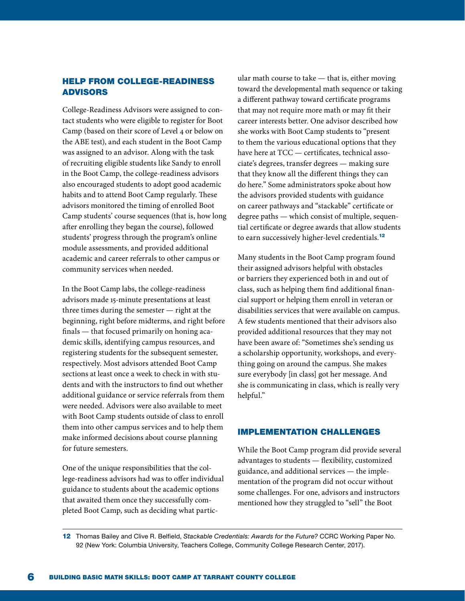# HELP FROM COLLEGE-READINESS ADVISORS

College-Readiness Advisors were assigned to contact students who were eligible to register for Boot Camp (based on their score of Level 4 or below on the ABE test), and each student in the Boot Camp was assigned to an advisor. Along with the task of recruiting eligible students like Sandy to enroll in the Boot Camp, the college-readiness advisors also encouraged students to adopt good academic habits and to attend Boot Camp regularly. These advisors monitored the timing of enrolled Boot Camp students' course sequences (that is, how long after enrolling they began the course), followed students' progress through the program's online module assessments, and provided additional academic and career referrals to other campus or community services when needed.

In the Boot Camp labs, the college-readiness advisors made 15-minute presentations at least three times during the semester — right at the beginning, right before midterms, and right before finals — that focused primarily on honing academic skills, identifying campus resources, and registering students for the subsequent semester, respectively. Most advisors attended Boot Camp sections at least once a week to check in with students and with the instructors to find out whether additional guidance or service referrals from them were needed. Advisors were also available to meet with Boot Camp students outside of class to enroll them into other campus services and to help them make informed decisions about course planning for future semesters.

One of the unique responsibilities that the college-readiness advisors had was to offer individual guidance to students about the academic options that awaited them once they successfully completed Boot Camp, such as deciding what particular math course to take — that is, either moving toward the developmental math sequence or taking a different pathway toward certificate programs that may not require more math or may fit their career interests better. One advisor described how she works with Boot Camp students to "present to them the various educational options that they have here at TCC — certificates, technical associate's degrees, transfer degrees — making sure that they know all the different things they can do here." Some administrators spoke about how the advisors provided students with guidance on career pathways and "stackable" certificate or degree paths — which consist of multiple, sequential certificate or degree awards that allow students to earn successively higher-level credentials.<sup>12</sup>

Many students in the Boot Camp program found their assigned advisors helpful with obstacles or barriers they experienced both in and out of class, such as helping them find additional financial support or helping them enroll in veteran or disabilities services that were available on campus. A few students mentioned that their advisors also provided additional resources that they may not have been aware of: "Sometimes she's sending us a scholarship opportunity, workshops, and everything going on around the campus. She makes sure everybody [in class] got her message. And she is communicating in class, which is really very helpful."

### IMPLEMENTATION CHALLENGES

While the Boot Camp program did provide several advantages to students — flexibility, customized guidance, and additional services — the implementation of the program did not occur without some challenges. For one, advisors and instructors mentioned how they struggled to "sell" the Boot

12 Thomas Bailey and Clive R. Belfield, *Stackable Credentials: Awards for the Future?* CCRC Working Paper No. 92 (New York: Columbia University, Teachers College, Community College Research Center, 2017).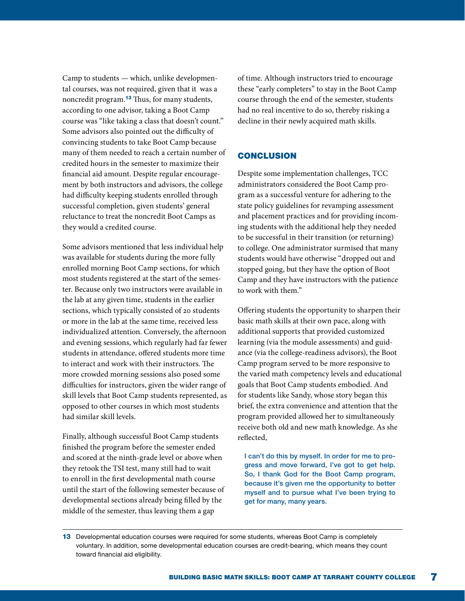Camp to students — which, unlike developmental courses, was not required, given that it was a noncredit program.<sup>13</sup> Thus, for many students, according to one advisor, taking a Boot Camp course was "like taking a class that doesn't count." Some advisors also pointed out the difficulty of convincing students to take Boot Camp because many of them needed to reach a certain number of credited hours in the semester to maximize their financial aid amount. Despite regular encouragement by both instructors and advisors, the college had difficulty keeping students enrolled through successful completion, given students' general reluctance to treat the noncredit Boot Camps as they would a credited course.

Some advisors mentioned that less individual help was available for students during the more fully enrolled morning Boot Camp sections, for which most students registered at the start of the semester. Because only two instructors were available in the lab at any given time, students in the earlier sections, which typically consisted of 20 students or more in the lab at the same time, received less individualized attention. Conversely, the afternoon and evening sessions, which regularly had far fewer students in attendance, offered students more time to interact and work with their instructors. The more crowded morning sessions also posed some difficulties for instructors, given the wider range of skill levels that Boot Camp students represented, as opposed to other courses in which most students had similar skill levels.

Finally, although successful Boot Camp students finished the program before the semester ended and scored at the ninth-grade level or above when they retook the TSI test, many still had to wait to enroll in the first developmental math course until the start of the following semester because of developmental sections already being filled by the middle of the semester, thus leaving them a gap

of time. Although instructors tried to encourage these "early completers" to stay in the Boot Camp course through the end of the semester, students had no real incentive to do so, thereby risking a decline in their newly acquired math skills.

# **CONCLUSION**

Despite some implementation challenges, TCC administrators considered the Boot Camp program as a successful venture for adhering to the state policy guidelines for revamping assessment and placement practices and for providing incoming students with the additional help they needed to be successful in their transition (or returning) to college. One administrator surmised that many students would have otherwise "dropped out and stopped going, but they have the option of Boot Camp and they have instructors with the patience to work with them."

Offering students the opportunity to sharpen their basic math skills at their own pace, along with additional supports that provided customized learning (via the module assessments) and guidance (via the college-readiness advisors), the Boot Camp program served to be more responsive to the varied math competency levels and educational goals that Boot Camp students embodied. And for students like Sandy, whose story began this brief, the extra convenience and attention that the program provided allowed her to simultaneously receive both old and new math knowledge. As she reflected,

I can't do this by myself. In order for me to progress and move forward, I've got to get help. So, I thank God for the Boot Camp program, because it's given me the opportunity to better myself and to pursue what I've been trying to get for many, many years.

13 Developmental education courses were required for some students, whereas Boot Camp is completely voluntary. In addition, some developmental education courses are credit-bearing, which means they count toward financial aid eligibility.